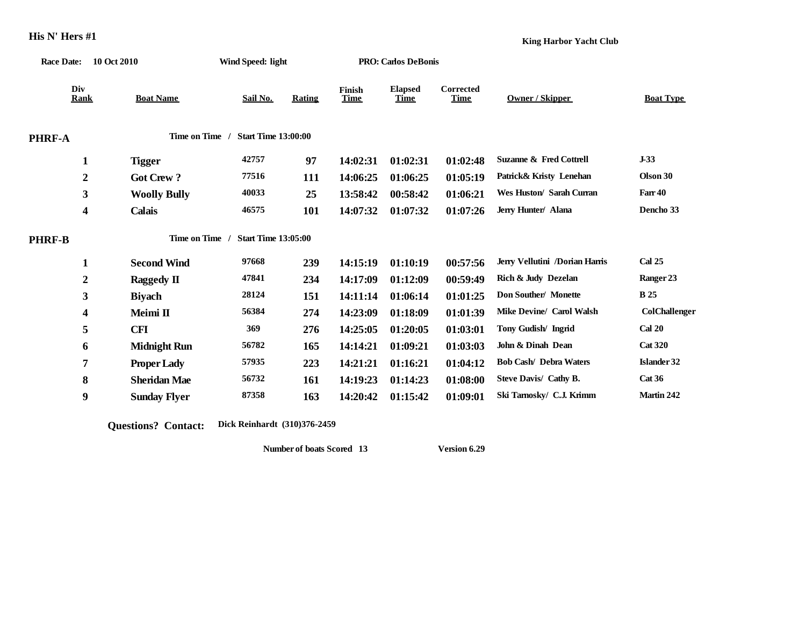|                    | Race Date: 10 Oct 2010 |                     | Wind Speed: light          |               |                       | <b>PRO: Carlos DeBonis</b>    |                                 |                                    |                      |  |
|--------------------|------------------------|---------------------|----------------------------|---------------|-----------------------|-------------------------------|---------------------------------|------------------------------------|----------------------|--|
| Div<br><b>Rank</b> |                        | <b>Boat Name</b>    | Sail No.                   | <b>Rating</b> | Finish<br><b>Time</b> | <b>Elapsed</b><br><b>Time</b> | <b>Corrected</b><br><b>Time</b> | Owner / Skipper                    | <b>Boat Type</b>     |  |
| PHRF-A             |                        | <b>Time on Time</b> | <b>Start Time 13:00:00</b> |               |                       |                               |                                 |                                    |                      |  |
| 1                  |                        | <b>Tigger</b>       | 42757                      | 97            | 14:02:31              | 01:02:31                      | 01:02:48                        | <b>Suzanne &amp; Fred Cottrell</b> | $J-33$               |  |
| $\boldsymbol{2}$   |                        | <b>Got Crew?</b>    | 77516                      | 111           | 14:06:25              | 01:06:25                      | 01:05:19                        | Patrick& Kristy Lenehan            | Olson 30             |  |
| 3                  |                        | <b>Woolly Bully</b> | 40033                      | 25            | 13:58:42              | 00:58:42                      | 01:06:21                        | Wes Huston/ Sarah Curran           | Farr 40              |  |
| 4                  |                        | Calais              | 46575                      | 101           | 14:07:32              | 01:07:32                      | 01:07:26                        | Jerry Hunter/ Alana                | Dencho 33            |  |
| <b>PHRF-B</b>      |                        | <b>Time on Time</b> | <b>Start Time 13:05:00</b> |               |                       |                               |                                 |                                    |                      |  |
| $\mathbf{1}$       |                        | <b>Second Wind</b>  | 97668                      | 239           | 14:15:19              | 01:10:19                      | 00:57:56                        | Jerry Vellutini /Dorian Harris     | Cal 25               |  |
| $\boldsymbol{2}$   |                        | Raggedy II          | 47841                      | 234           | 14:17:09              | 01:12:09                      | 00:59:49                        | Rich & Judy Dezelan                | Ranger 23            |  |
| 3                  |                        | <b>Biyach</b>       | 28124                      | 151           | 14:11:14              | 01:06:14                      | 01:01:25                        | Don Souther/Monette                | <b>B</b> 25          |  |
| 4                  |                        | Meimi II            | 56384                      | 274           | 14:23:09              | 01:18:09                      | 01:01:39                        | <b>Mike Devine/ Carol Walsh</b>    | <b>ColChallenger</b> |  |
| 5                  |                        | <b>CFI</b>          | 369                        | 276           | 14:25:05              | 01:20:05                      | 01:03:01                        | Tony Gudish/ Ingrid                | <b>Cal 20</b>        |  |
| 6                  |                        | <b>Midnight Run</b> | 56782                      | 165           | 14:14:21              | 01:09:21                      | 01:03:03                        | John & Dinah Dean                  | <b>Cat 320</b>       |  |
| 7                  |                        | <b>Proper Lady</b>  | 57935                      | 223           | 14:21:21              | 01:16:21                      | 01:04:12                        | <b>Bob Cash/ Debra Waters</b>      | Islander 32          |  |
| 8                  |                        | <b>Sheridan Mae</b> | 56732                      | 161           | 14:19:23              | 01:14:23                      | 01:08:00                        | Steve Davis/ Cathy B.              | Cat 36               |  |
| 9                  |                        | <b>Sunday Flyer</b> | 87358                      | 163           | 14:20:42              | 01:15:42                      | 01:09:01                        | Ski Tarnosky/ C.J. Krimm           | Martin 242           |  |
|                    |                        |                     |                            |               |                       |                               |                                 |                                    |                      |  |

**Questions? Contact: Dick Reinhardt (310)376-2459**

**Number of boats Scored 13 Version 6.29**

**King Harbor Yacht Club**

**His N' Hers #1**